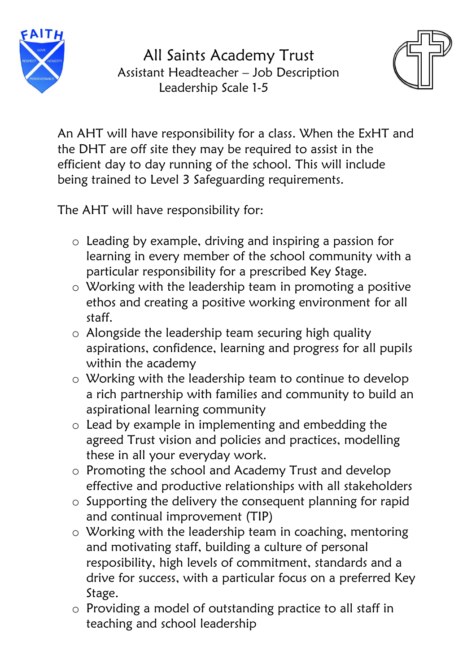

 All Saints Academy Trust Assistant Headteacher – Job Description Leadership Scale 1-5



An AHT will have responsibility for a class. When the ExHT and the DHT are off site they may be required to assist in the efficient day to day running of the school. This will include being trained to Level 3 Safeguarding requirements.

The AHT will have responsibility for:

- o Leading by example, driving and inspiring a passion for learning in every member of the school community with a particular responsibility for a prescribed Key Stage.
- o Working with the leadership team in promoting a positive ethos and creating a positive working environment for all staff.
- o Alongside the leadership team securing high quality aspirations, confidence, learning and progress for all pupils within the academy
- o Working with the leadership team to continue to develop a rich partnership with families and community to build an aspirational learning community
- o Lead by example in implementing and embedding the agreed Trust vision and policies and practices, modelling these in all your everyday work.
- o Promoting the school and Academy Trust and develop effective and productive relationships with all stakeholders
- o Supporting the delivery the consequent planning for rapid and continual improvement (TIP)
- o Working with the leadership team in coaching, mentoring and motivating staff, building a culture of personal resposibility, high levels of commitment, standards and a drive for success, with a particular focus on a preferred Key Stage.
- o Providing a model of outstanding practice to all staff in teaching and school leadership